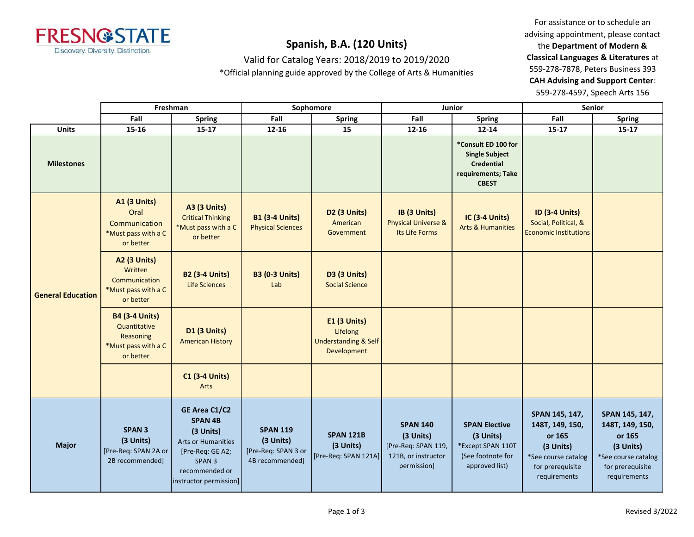

Valid for Catalog Years: 2018/2019 to 2019/2020

\*Official planning guide approved by the College of Arts & Humanities

For assistance or to schedule an advising appointment, please contact the **Department of Modern & Classical Languages & Literatures** at 559-278-7878, Peters Business 393 **CAH Advising and Support Center**: 559-278-4597, Speech Arts 156

|                          |                                                                                        | Freshman                                                                                                                                                       |                                                                        | Sophomore                                                                  |                                                                                           | Junior                                                                                                  | <b>Senior</b>                                                                                                       |                                                                                                                     |
|--------------------------|----------------------------------------------------------------------------------------|----------------------------------------------------------------------------------------------------------------------------------------------------------------|------------------------------------------------------------------------|----------------------------------------------------------------------------|-------------------------------------------------------------------------------------------|---------------------------------------------------------------------------------------------------------|---------------------------------------------------------------------------------------------------------------------|---------------------------------------------------------------------------------------------------------------------|
|                          | Fall                                                                                   | <b>Spring</b>                                                                                                                                                  | Fall                                                                   | <b>Spring</b>                                                              | Fall                                                                                      | <b>Spring</b>                                                                                           | Fall                                                                                                                | <b>Spring</b>                                                                                                       |
| <b>Units</b>             | 15-16                                                                                  | $15 - 17$                                                                                                                                                      | 12-16                                                                  | 15                                                                         | 12-16                                                                                     | 12-14                                                                                                   | $15 - 17$                                                                                                           | $15 - 17$                                                                                                           |
| <b>Milestones</b>        |                                                                                        |                                                                                                                                                                |                                                                        |                                                                            |                                                                                           | *Consult ED 100 for<br><b>Single Subject</b><br><b>Credential</b><br>requirements; Take<br><b>CBEST</b> |                                                                                                                     |                                                                                                                     |
|                          | <b>A1 (3 Units)</b><br>Oral<br>Communication<br>*Must pass with a C<br>or better       | A3 (3 Units)<br><b>Critical Thinking</b><br>*Must pass with a C<br>or better                                                                                   | <b>B1 (3-4 Units)</b><br><b>Physical Sciences</b>                      | D <sub>2</sub> (3 Units)<br>American<br>Government                         | IB (3 Units)<br>Physical Universe &<br>Its Life Forms                                     | <b>IC (3-4 Units)</b><br><b>Arts &amp; Humanities</b>                                                   | <b>ID (3-4 Units)</b><br>Social, Political, &<br><b>Economic Institutions</b>                                       |                                                                                                                     |
| <b>General Education</b> | <b>A2 (3 Units)</b><br>Written<br>Communication<br>*Must pass with a C<br>or better    | <b>B2 (3-4 Units)</b><br>Life Sciences                                                                                                                         | <b>B3 (0-3 Units)</b><br>Lab                                           | <b>D3 (3 Units)</b><br><b>Social Science</b>                               |                                                                                           |                                                                                                         |                                                                                                                     |                                                                                                                     |
|                          | <b>B4 (3-4 Units)</b><br>Quantitative<br>Reasoning<br>*Must pass with a C<br>or better | D1 (3 Units)<br><b>American History</b>                                                                                                                        |                                                                        | E1 (3 Units)<br>Lifelong<br><b>Understanding &amp; Self</b><br>Development |                                                                                           |                                                                                                         |                                                                                                                     |                                                                                                                     |
|                          |                                                                                        | <b>C1 (3-4 Units)</b><br>Arts                                                                                                                                  |                                                                        |                                                                            |                                                                                           |                                                                                                         |                                                                                                                     |                                                                                                                     |
| <b>Major</b>             | <b>SPAN 3</b><br>(3 Units)<br>[Pre-Req: SPAN 2A or<br>2B recommended]                  | GE Area C1/C2<br><b>SPAN 4B</b><br>(3 Units)<br><b>Arts or Humanities</b><br>[Pre-Req: GE A2;<br>SPAN <sub>3</sub><br>recommended or<br>instructor permission] | <b>SPAN 119</b><br>(3 Units)<br>[Pre-Req: SPAN 3 or<br>4B recommended] | <b>SPAN 121B</b><br>(3 Units)<br>[Pre-Req: SPAN 121A]                      | <b>SPAN 140</b><br>(3 Units)<br>[Pre-Req: SPAN 119,<br>121B, or instructor<br>permission] | <b>SPAN Elective</b><br>(3 Units)<br>*Except SPAN 110T<br>(See footnote for<br>approved list)           | SPAN 145, 147,<br>148T, 149, 150,<br>or 165<br>(3 Units)<br>*See course catalog<br>for prerequisite<br>requirements | SPAN 145, 147,<br>148T, 149, 150,<br>or 165<br>(3 Units)<br>*See course catalog<br>for prerequisite<br>requirements |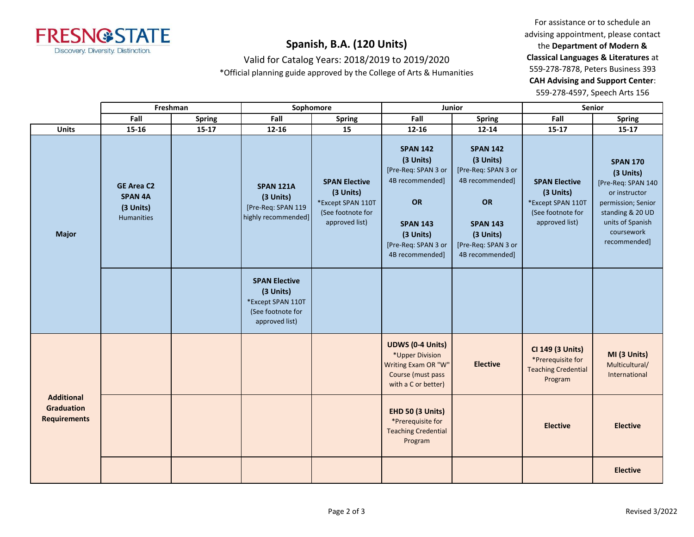

Valid for Catalog Years: 2018/2019 to 2019/2020

\*Official planning guide approved by the College of Arts & Humanities

For assistance or to schedule an advising appointment, please contact the **Department of Modern & Classical Languages & Literatures** at 559-278-7878, Peters Business 393 **CAH Advising and Support Center**: 559-278-4597, Speech Arts 156

|                                                               |                                                                | Freshman  |                                                                                               | Sophomore                                                                                     |                                                                                                                                                        | Junior                                                                                                                                                        |                                                                                               | <b>Senior</b>                                                                                                                                                   |  |
|---------------------------------------------------------------|----------------------------------------------------------------|-----------|-----------------------------------------------------------------------------------------------|-----------------------------------------------------------------------------------------------|--------------------------------------------------------------------------------------------------------------------------------------------------------|---------------------------------------------------------------------------------------------------------------------------------------------------------------|-----------------------------------------------------------------------------------------------|-----------------------------------------------------------------------------------------------------------------------------------------------------------------|--|
|                                                               | Fall                                                           | Spring    | Fall                                                                                          | <b>Spring</b>                                                                                 | Fall                                                                                                                                                   | <b>Spring</b>                                                                                                                                                 | Fall                                                                                          | <b>Spring</b>                                                                                                                                                   |  |
| <b>Units</b>                                                  | $15 - 16$                                                      | $15 - 17$ | 12-16                                                                                         | 15                                                                                            | $12 - 16$                                                                                                                                              | 12-14                                                                                                                                                         | $15 - 17$                                                                                     | $15 - 17$                                                                                                                                                       |  |
| <b>Major</b>                                                  | <b>GE Area C2</b><br><b>SPAN 4A</b><br>(3 Units)<br>Humanities |           | <b>SPAN 121A</b><br>(3 Units)<br>[Pre-Req: SPAN 119<br>highly recommended]                    | <b>SPAN Elective</b><br>(3 Units)<br>*Except SPAN 110T<br>(See footnote for<br>approved list) | <b>SPAN 142</b><br>(3 Units)<br>[Pre-Req: SPAN 3 or<br>4B recommended]<br>OR<br><b>SPAN 143</b><br>(3 Units)<br>[Pre-Req: SPAN 3 or<br>4B recommended] | <b>SPAN 142</b><br>(3 Units)<br>[Pre-Req: SPAN 3 or<br>4B recommended]<br><b>OR</b><br><b>SPAN 143</b><br>(3 Units)<br>[Pre-Req: SPAN 3 or<br>4B recommended] | <b>SPAN Elective</b><br>(3 Units)<br>*Except SPAN 110T<br>(See footnote for<br>approved list) | <b>SPAN 170</b><br>(3 Units)<br>[Pre-Req: SPAN 140<br>or instructor<br>permission; Senior<br>standing & 20 UD<br>units of Spanish<br>coursework<br>recommended] |  |
|                                                               |                                                                |           | <b>SPAN Elective</b><br>(3 Units)<br>*Except SPAN 110T<br>(See footnote for<br>approved list) |                                                                                               |                                                                                                                                                        |                                                                                                                                                               |                                                                                               |                                                                                                                                                                 |  |
|                                                               |                                                                |           |                                                                                               |                                                                                               | <b>UDWS (0-4 Units)</b><br>*Upper Division<br>Writing Exam OR "W"<br>Course (must pass<br>with a C or better)                                          | <b>Elective</b>                                                                                                                                               | CI 149 (3 Units)<br>*Prerequisite for<br><b>Teaching Credential</b><br>Program                | MI (3 Units)<br>Multicultural/<br>International                                                                                                                 |  |
| <b>Additional</b><br><b>Graduation</b><br><b>Requirements</b> |                                                                |           |                                                                                               |                                                                                               | <b>EHD 50 (3 Units)</b><br>*Prerequisite for<br><b>Teaching Credential</b><br>Program                                                                  |                                                                                                                                                               | <b>Elective</b>                                                                               | <b>Elective</b>                                                                                                                                                 |  |
|                                                               |                                                                |           |                                                                                               |                                                                                               |                                                                                                                                                        |                                                                                                                                                               |                                                                                               | <b>Elective</b>                                                                                                                                                 |  |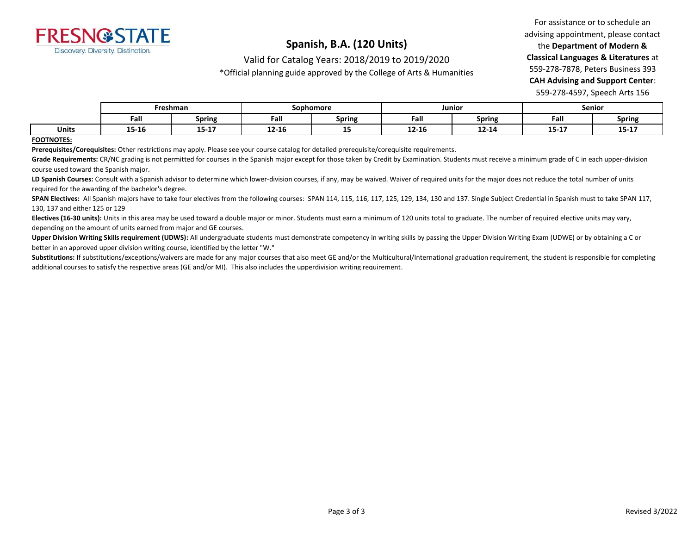

Valid for Catalog Years: 2018/2019 to 2019/2020

\*Official planning guide approved by the College of Arts & Humanities

For assistance or to schedule an advising appointment, please contact the **Department of Modern & Classical Languages & Literatures** at 559-278-7878, Peters Business 393 **CAH Advising and Support Center**: 559-278-4597, Speech Arts 156

|       | Freshman |           | Sophomore |               | Junior    |               | Senior    |                |
|-------|----------|-----------|-----------|---------------|-----------|---------------|-----------|----------------|
|       | Fall     | Spring    | -<br>Fall | <b>Spring</b> | Fall      | <b>Spring</b> | Fall      | Spring         |
| Units | 15-16    | $15 - 17$ | 12-16     | --            | $12 - 16$ | $12 - 14$     | $15 - 17$ | 10.17<br>T2-T1 |

#### **FOOTNOTES:**

**Prerequisites/Corequisites:** Other restrictions may apply. Please see your course catalog for detailed prerequisite/corequisite requirements.

Grade Requirements: CR/NC grading is not permitted for courses in the Spanish major except for those taken by Credit by Examination. Students must receive a minimum grade of C in each upper-division course used toward the Spanish major.

LD Spanish Courses: Consult with a Spanish advisor to determine which lower-division courses, if any, may be waived. Waiver of required units for the major does not reduce the total number of units required for the awarding of the bachelor's degree.

SPAN Electives: All Spanish majors have to take four electives from the following courses: SPAN 114, 115, 116, 117, 125, 129, 134, 130 and 137. Single Subject Credential in Spanish must to take SPAN 117, 130, 137 and either 125 or 129

**Electives (16-30 units):** Units in this area may be used toward a double major or minor. Students must earn a minimum of 120 units total to graduate. The number of required elective units may vary, depending on the amount of units earned from major and GE courses.

**Upper Division Writing Skills requirement (UDWS):** All undergraduate students must demonstrate competency in writing skills by passing the Upper Division Writing Exam (UDWE) or by obtaining a C or better in an approved upper division writing course, identified by the letter "W."

Substitutions: If substitutions/exceptions/waivers are made for any major courses that also meet GE and/or the Multicultural/International graduation requirement, the student is responsible for completing additional courses to satisfy the respective areas (GE and/or MI). This also includes the upperdivision writing requirement.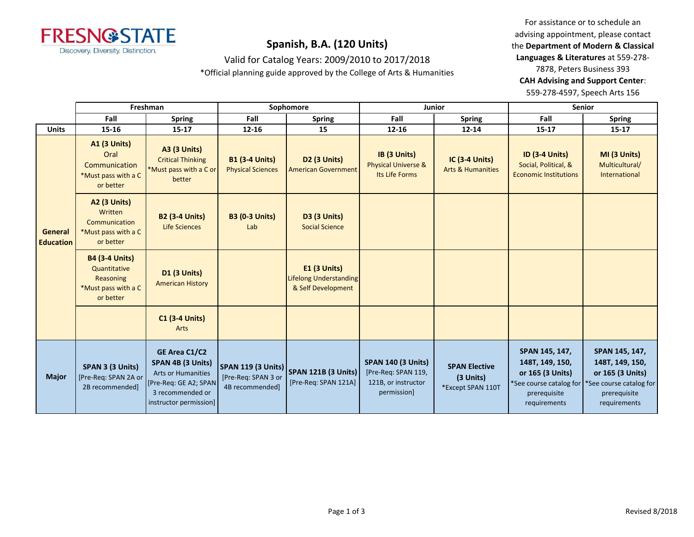

Valid for Catalog Years: 2009/2010 to 2017/2018

\*Official planning guide approved by the College of Arts & Humanities

For assistance or to schedule an advising appointment, please contact the **Department of Modern & Classical Languages & Literatures** at 559-278- 7878, Peters Business 393 **CAH Advising and Support Center**: 559-278-4597, Speech Arts 156

|                                    | Freshman                                                                               |                                                                                                                                        |                                                   | Sophomore                                                           | <b>Junior</b>                                                                          |                                                        | <b>Senior</b>                                                                                                    |                                                                                                                  |
|------------------------------------|----------------------------------------------------------------------------------------|----------------------------------------------------------------------------------------------------------------------------------------|---------------------------------------------------|---------------------------------------------------------------------|----------------------------------------------------------------------------------------|--------------------------------------------------------|------------------------------------------------------------------------------------------------------------------|------------------------------------------------------------------------------------------------------------------|
|                                    | Fall                                                                                   | <b>Spring</b>                                                                                                                          | Fall                                              | <b>Spring</b>                                                       | Fall                                                                                   | <b>Spring</b>                                          | Fall                                                                                                             | <b>Spring</b>                                                                                                    |
| <b>Units</b>                       | 15-16                                                                                  | $15 - 17$                                                                                                                              | 12-16                                             | 15                                                                  | $12 - 16$                                                                              | $12 - 14$                                              | $15 - 17$                                                                                                        | $15 - 17$                                                                                                        |
|                                    | <b>A1 (3 Units)</b><br>Oral<br>Communication<br>*Must pass with a C<br>or better       | <b>A3 (3 Units)</b><br><b>Critical Thinking</b><br>*Must pass with a C or<br>better                                                    | <b>B1 (3-4 Units)</b><br><b>Physical Sciences</b> | <b>D2 (3 Units)</b><br><b>American Government</b>                   | IB (3 Units)<br><b>Physical Universe &amp;</b><br>Its Life Forms                       | <b>IC (3-4 Units)</b><br><b>Arts &amp; Humanities</b>  | <b>ID (3-4 Units)</b><br>Social, Political, &<br><b>Economic Institutions</b>                                    | MI (3 Units)<br>Multicultural/<br>International                                                                  |
| <b>General</b><br><b>Education</b> | <b>A2 (3 Units)</b><br>Written<br>Communication<br>*Must pass with a C<br>or better    | <b>B2 (3-4 Units)</b><br><b>Life Sciences</b>                                                                                          | <b>B3 (0-3 Units)</b><br>Lab                      | <b>D3 (3 Units)</b><br><b>Social Science</b>                        |                                                                                        |                                                        |                                                                                                                  |                                                                                                                  |
|                                    | <b>B4 (3-4 Units)</b><br>Quantitative<br>Reasoning<br>*Must pass with a C<br>or better | <b>D1 (3 Units)</b><br><b>American History</b>                                                                                         |                                                   | <b>E1 (3 Units)</b><br>Lifelong Understanding<br>& Self Development |                                                                                        |                                                        |                                                                                                                  |                                                                                                                  |
|                                    |                                                                                        | <b>C1 (3-4 Units)</b><br>Arts                                                                                                          |                                                   |                                                                     |                                                                                        |                                                        |                                                                                                                  |                                                                                                                  |
| <b>Major</b>                       | SPAN 3 (3 Units)<br>[Pre-Req: SPAN 2A or<br>2B recommended]                            | GE Area C1/C2<br>SPAN 4B (3 Units)<br><b>Arts or Humanities</b><br>[Pre-Req: GE A2; SPAN<br>3 recommended or<br>instructor permission] | [Pre-Req: SPAN 3 or<br>4B recommended]            | SPAN 119 (3 Units) SPAN 121B (3 Units)<br>[Pre-Req: SPAN 121A]      | <b>SPAN 140 (3 Units)</b><br>[Pre-Req: SPAN 119,<br>121B, or instructor<br>permission] | <b>SPAN Elective</b><br>(3 Units)<br>*Except SPAN 110T | SPAN 145, 147,<br>148T, 149, 150,<br>or 165 (3 Units)<br>*See course catalog for<br>prerequisite<br>requirements | SPAN 145, 147,<br>148T, 149, 150,<br>or 165 (3 Units)<br>*See course catalog for<br>prerequisite<br>requirements |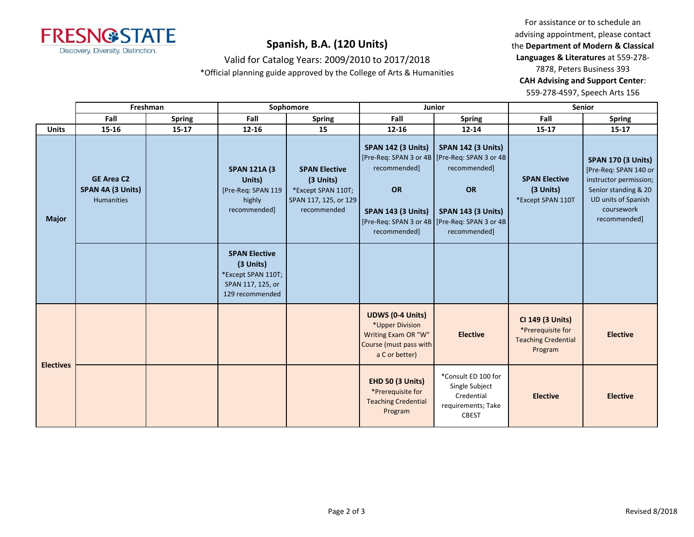

For assistance or to schedule an advising appointment, please contact the **Department of Modern & Classical Languages & Literatures** at 559-278- 7878, Peters Business 393 **CAH Advising and Support Center**: 559-278-4597, Speech Arts 156

| Valid for Catalog Years: 2009/2010 to 2017/2018 |
|-------------------------------------------------|
|-------------------------------------------------|

\*Official planning guide approved by the College of Arts & Humanities

|                  | Freshman                                                    |               |                                                                                                 | Sophomore                                                                                       |                                                                                                               | Junior                                                                                                                                                                                               | Senior                                                                         |                                                                                                                                                           |
|------------------|-------------------------------------------------------------|---------------|-------------------------------------------------------------------------------------------------|-------------------------------------------------------------------------------------------------|---------------------------------------------------------------------------------------------------------------|------------------------------------------------------------------------------------------------------------------------------------------------------------------------------------------------------|--------------------------------------------------------------------------------|-----------------------------------------------------------------------------------------------------------------------------------------------------------|
|                  | Fall                                                        | <b>Spring</b> | Fall                                                                                            | <b>Spring</b>                                                                                   | Fall                                                                                                          | <b>Spring</b>                                                                                                                                                                                        | Fall                                                                           | <b>Spring</b>                                                                                                                                             |
| <b>Units</b>     | 15-16                                                       | $15 - 17$     | 12-16                                                                                           | 15                                                                                              | 12-16                                                                                                         | $12 - 14$                                                                                                                                                                                            | $15 - 17$                                                                      | $15 - 17$                                                                                                                                                 |
| <b>Major</b>     | <b>GE Area C2</b><br>SPAN 4A (3 Units)<br><b>Humanities</b> |               | <b>SPAN 121A (3)</b><br>Units)<br>[Pre-Req: SPAN 119<br>highly<br>recommended]                  | <b>SPAN Elective</b><br>(3 Units)<br>*Except SPAN 110T;<br>SPAN 117, 125, or 129<br>recommended | <b>SPAN 142 (3 Units)</b><br>recommended]<br>OR<br><b>SPAN 143 (3 Units)</b><br>recommended]                  | <b>SPAN 142 (3 Units)</b><br>[Pre-Req: SPAN 3 or 4B   [Pre-Req: SPAN 3 or 4B<br>recommended]<br>OR<br><b>SPAN 143 (3 Units)</b><br>[Pre-Req: SPAN 3 or 4B   [Pre-Req: SPAN 3 or 4B  <br>recommended] | <b>SPAN Elective</b><br>(3 Units)<br>*Except SPAN 110T                         | <b>SPAN 170 (3 Units)</b><br>[Pre-Req: SPAN 140 or<br>instructor permission;<br>Senior standing & 20<br>UD units of Spanish<br>coursework<br>recommended] |
|                  |                                                             |               | <b>SPAN Elective</b><br>(3 Units)<br>*Except SPAN 110T;<br>SPAN 117, 125, or<br>129 recommended |                                                                                                 |                                                                                                               |                                                                                                                                                                                                      |                                                                                |                                                                                                                                                           |
|                  |                                                             |               |                                                                                                 |                                                                                                 | <b>UDWS (0-4 Units)</b><br>*Upper Division<br>Writing Exam OR "W"<br>Course (must pass with<br>a C or better) | <b>Elective</b>                                                                                                                                                                                      | CI 149 (3 Units)<br>*Prerequisite for<br><b>Teaching Credential</b><br>Program | <b>Elective</b>                                                                                                                                           |
| <b>Electives</b> |                                                             |               |                                                                                                 |                                                                                                 | <b>EHD 50 (3 Units)</b><br>*Prerequisite for<br><b>Teaching Credential</b><br>Program                         | *Consult ED 100 for<br>Single Subject<br>Credential<br>requirements; Take<br><b>CBEST</b>                                                                                                            | <b>Elective</b>                                                                | <b>Elective</b>                                                                                                                                           |